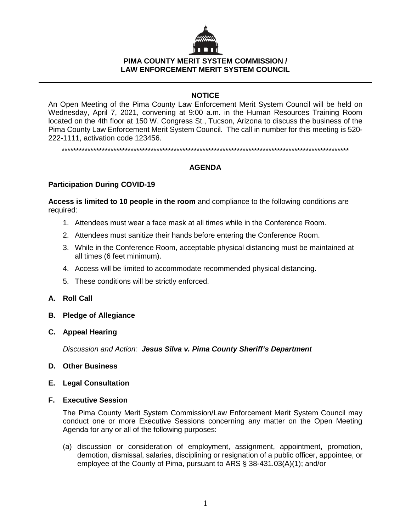

## **PIMA COUNTY MERIT SYSTEM COMMISSION / LAW ENFORCEMENT MERIT SYSTEM COUNCIL**

# **NOTICE**

An Open Meeting of the Pima County Law Enforcement Merit System Council will be held on Wednesday, April 7, 2021, convening at 9:00 a.m. in the Human Resources Training Room located on the 4th floor at 150 W. Congress St., Tucson, Arizona to discuss the business of the Pima County Law Enforcement Merit System Council. The call in number for this meeting is 520- 222-1111, activation code 123456.

\*\*\*\*\*\*\*\*\*\*\*\*\*\*\*\*\*\*\*\*\*\*\*\*\*\*\*\*\*\*\*\*\*\*\*\*\*\*\*\*\*\*\*\*\*\*\*\*\*\*\*\*\*\*\*\*\*\*\*\*\*\*\*\*\*\*\*\*\*\*\*\*\*\*\*\*\*\*\*\*\*\*\*\*\*\*\*\*\*\*\*\*\*\*\*\*\*\*\*\*

# **AGENDA**

### **Participation During COVID-19**

**Access is limited to 10 people in the room** and compliance to the following conditions are required:

- 1. Attendees must wear a face mask at all times while in the Conference Room.
- 2. Attendees must sanitize their hands before entering the Conference Room.
- 3. While in the Conference Room, acceptable physical distancing must be maintained at all times (6 feet minimum).
- 4. Access will be limited to accommodate recommended physical distancing.
- 5. These conditions will be strictly enforced.
- **A. Roll Call**
- **B. Pledge of Allegiance**
- **C. Appeal Hearing**

*Discussion and Action: Jesus Silva v. Pima County Sheriff's Department*

- **D. Other Business**
- **E. Legal Consultation**

#### **F. Executive Session**

The Pima County Merit System Commission/Law Enforcement Merit System Council may conduct one or more Executive Sessions concerning any matter on the Open Meeting Agenda for any or all of the following purposes:

(a) discussion or consideration of employment, assignment, appointment, promotion, demotion, dismissal, salaries, disciplining or resignation of a public officer, appointee, or employee of the County of Pima, pursuant to ARS § 38-431.03(A)(1); and/or